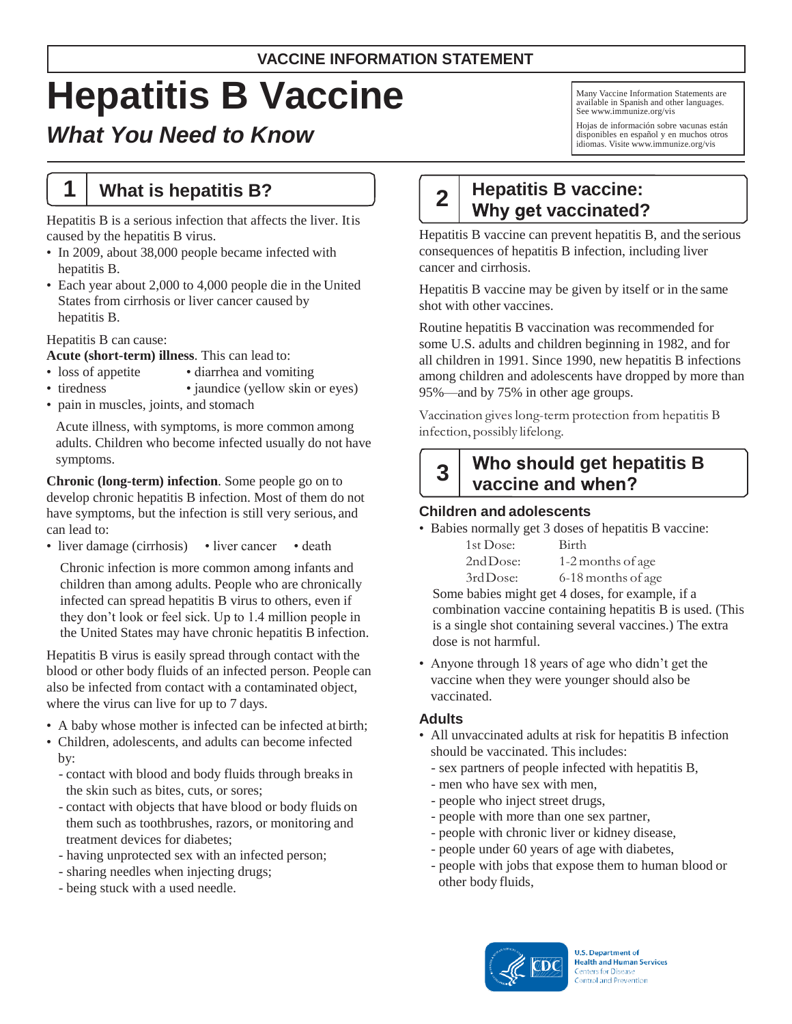## **VACCINE INFORMATION STATEMENT**

# **Hepatitis B Vaccine**

## *What You Need to Know*

## **1 What is hepatitis B?**

Hepatitis B is a serious infection that affects the liver. Itis caused by the hepatitis B virus.

- In 2009, about 38,000 people became infected with hepatitis B.
- Each year about 2,000 to 4,000 people die in the United States from cirrhosis or liver cancer caused by hepatitis B.

## Hepatitis B can cause:

**Acute (short-term) illness**. This can lead to:

- loss of appetite diarrhea and vomiting
- tiredness jaundice (yellow skin or eyes)
- pain in muscles, joints, and stomach

Acute illness, with symptoms, is more common among adults. Children who become infected usually do not have symptoms.

**Chronic (long-term) infection**. Some people go on to develop chronic hepatitis B infection. Most of them do not have symptoms, but the infection is still very serious, and can lead to:

• liver damage (cirrhosis) • liver cancer • death

Chronic infection is more common among infants and children than among adults. People who are chronically infected can spread hepatitis B virus to others, even if they don't look or feel sick. Up to 1.4 million people in the United States may have chronic hepatitis B infection.

Hepatitis B virus is easily spread through contact with the blood or other body fluids of an infected person. People can also be infected from contact with a contaminated object, where the virus can live for up to 7 days.

- A baby whose mother is infected can be infected at birth;
- Children, adolescents, and adults can become infected by:
	- contact with blood and body fluids through breaksin the skin such as bites, cuts, or sores;
	- contact with objects that have blood or body fluids on them such as toothbrushes, razors, or monitoring and treatment devices for diabetes;
	- having unprotected sex with an infected person;
	- sharing needles when injecting drugs;
	- being stuck with a used needle.

Many Vaccine Information Statements are available in Spanish and other languages. See [www.immunize.org/vis](http://www.immunize.org/vis)

Hojas de información sobre vacunas están disponibles en español y en muchos otros idiomas. Visite [www.immunize.org/vis](http://www.immunize.org/vis)

#### **2 Hepatitis B vaccine: Why get vaccinated?**

Hepatitis B vaccine can prevent hepatitis B, and the serious consequences of hepatitis B infection, including liver cancer and cirrhosis.

Hepatitis B vaccine may be given by itself or in the same shot with other vaccines.

Routine hepatitis B vaccination was recommended for some U.S. adults and children beginning in 1982, and for all children in 1991. Since 1990, new hepatitis B infections among children and adolescents have dropped by more than 95%—and by 75% in other age groups.

Vaccination gives long-term protection from hepatitis B infection, possibly lifelong.

## **3**

## **get hepatitis B vaccine and**

## **Children and adolescents**

• Babies normally get 3 doses of hepatitis B vaccine:

| 1st Dose: | Birth              |
|-----------|--------------------|
| 2ndDose:  | 1-2 months of age  |
| 3rdDose:  | 6-18 months of age |

Some babies might get 4 doses, for example, if a combination vaccine containing hepatitis B is used. (This is a single shot containing several vaccines.) The extra dose is not harmful.

• Anyone through 18 years of age who didn't get the vaccine when they were younger should also be vaccinated.

## **Adults**

- All unvaccinated adults at risk for hepatitis B infection should be vaccinated. This includes:
	- sex partners of people infected with hepatitis B,
	- men who have sex with men,
	- people who inject street drugs,
	- people with more than one sex partner,
	- people with chronic liver or kidney disease,
	- people under 60 years of age with diabetes,
	- people with jobs that expose them to human blood or other body fluids,

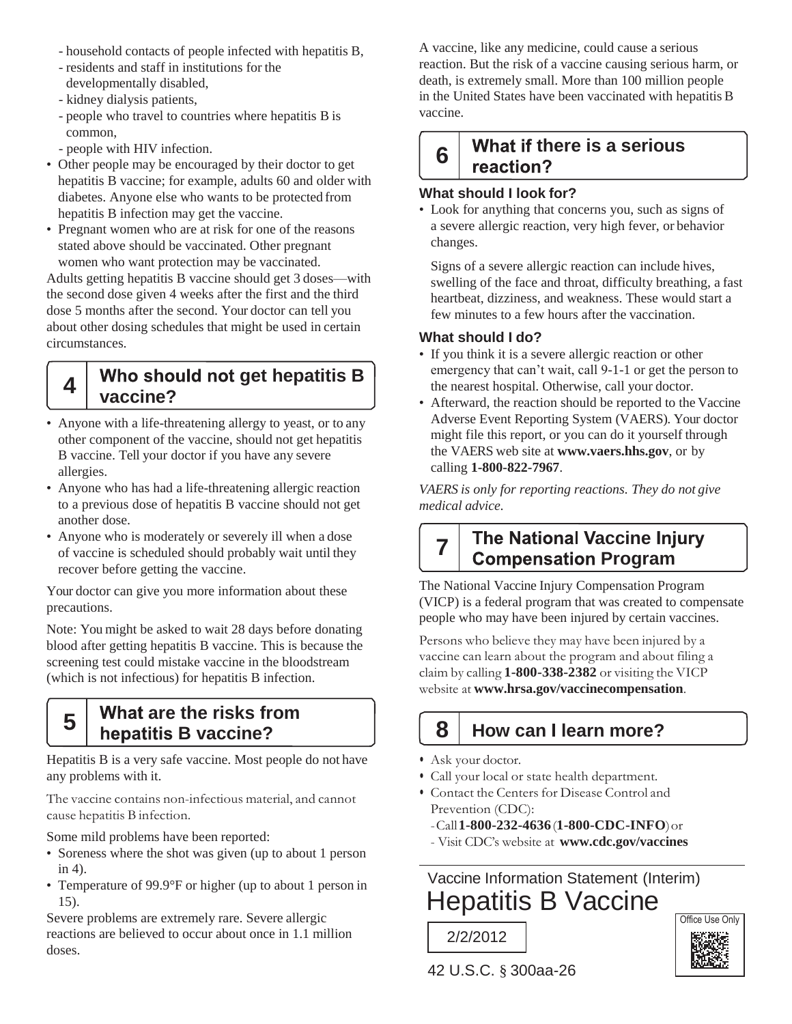- household contacts of people infected with hepatitis B,
- residents and staff in institutions for the developmentally disabled,
- kidney dialysis patients,
- people who travel to countries where hepatitis B is common,
- people with HIV infection.

**4**

- Other people may be encouraged by their doctor to get hepatitis B vaccine; for example, adults 60 and older with diabetes. Anyone else who wants to be protected from hepatitis B infection may get the vaccine.
- Pregnant women who are at risk for one of the reasons stated above should be vaccinated. Other pregnant women who want protection may be vaccinated.

Adults getting hepatitis B vaccine should get 3 doses—with the second dose given 4 weeks after the first and the third dose 5 months after the second. Your doctor can tell you about other dosing schedules that might be used in certain circumstances.

## **get hepatitis B vaccine?**

- Anyone with a life-threatening allergy to yeast, or to any other component of the vaccine, should not get hepatitis B vaccine. Tell your doctor if you have any severe allergies.
- Anyone who has had a life-threatening allergic reaction to a previous dose of hepatitis B vaccine should not get another dose.
- Anyone who is moderately or severely ill when a dose of vaccine is scheduled should probably wait until they recover before getting the vaccine.

Your doctor can give you more information about these precautions.

Note: You might be asked to wait 28 days before donating blood after getting hepatitis B vaccine. This is because the screening test could mistake vaccine in the bloodstream (which is not infectious) for hepatitis B infection.

#### **5 What are the risks from hepatitis B vaccine?**

Hepatitis B is a very safe vaccine. Most people do not have any problems with it.

The vaccine contains non-infectious material, and cannot cause hepatitis B infection.

Some mild problems have been reported:

- Soreness where the shot was given (up to about 1 person in 4).
- Temperature of 99.9°F or higher (up to about 1 person in 15).

Severe problems are extremely rare. Severe allergic reactions are believed to occur about once in 1.1 million doses.

A vaccine, like any medicine, could cause a serious reaction. But the risk of a vaccine causing serious harm, or death, is extremely small. More than 100 million people in the United States have been vaccinated with hepatitis B vaccine.

#### **there is a serious 6** reaction?

## **What should I look for?**

• Look for anything that concerns you, such as signs of a severe allergic reaction, very high fever, or behavior changes.

Signs of a severe allergic reaction can include hives, swelling of the face and throat, difficulty breathing, a fast heartbeat, dizziness, and weakness. These would start a few minutes to a few hours after the vaccination.

#### **What should I do?**

- If you think it is a severe allergic reaction or other emergency that can't wait, call 9-1-1 or get the person to the nearest hospital. Otherwise, call your doctor.
- Afterward, the reaction should be reported to the Vaccine Adverse Event Reporting System (VAERS). Your doctor might file this report, or you can do it yourself through the VAERS web site at **[www.vaers.hhs.gov](http://www.vaers.hhs.gov/)**, or by calling **1-800-822-7967**.

*VAERS is only for reporting reactions. They do not give medical advice.*

**7**

## **The National Vaccine Injury Compensation Program**

The National Vaccine Injury Compensation Program (VICP) is a federal program that was created to compensate people who may have been injured by certain vaccines.

Persons who believe they may have been injured by a vaccine can learn about the program and about filing a claim by calling **1-800-338-2382** or visiting the VICP website at **[www.hrsa.gov/vaccinecompensation](http://www.hrsa.gov/vaccinecompensation)**.

## **8 How can learn more?**

- Ask your doctor.
- Call your local or state health department.
- Contact the Centers for Disease Control and Prevention (CDC):
	- -Call**1-800-232-4636**(**1-800-CDC-INFO**)or
	- Visit CDC's website at **[www.cdc.gov/vaccines](http://www.cdc.gov/vaccines)**

Vaccine Information Statement (Interim) Hepatitis B Vaccine



42 U.S.C. § 300aa-26

2/2/2012